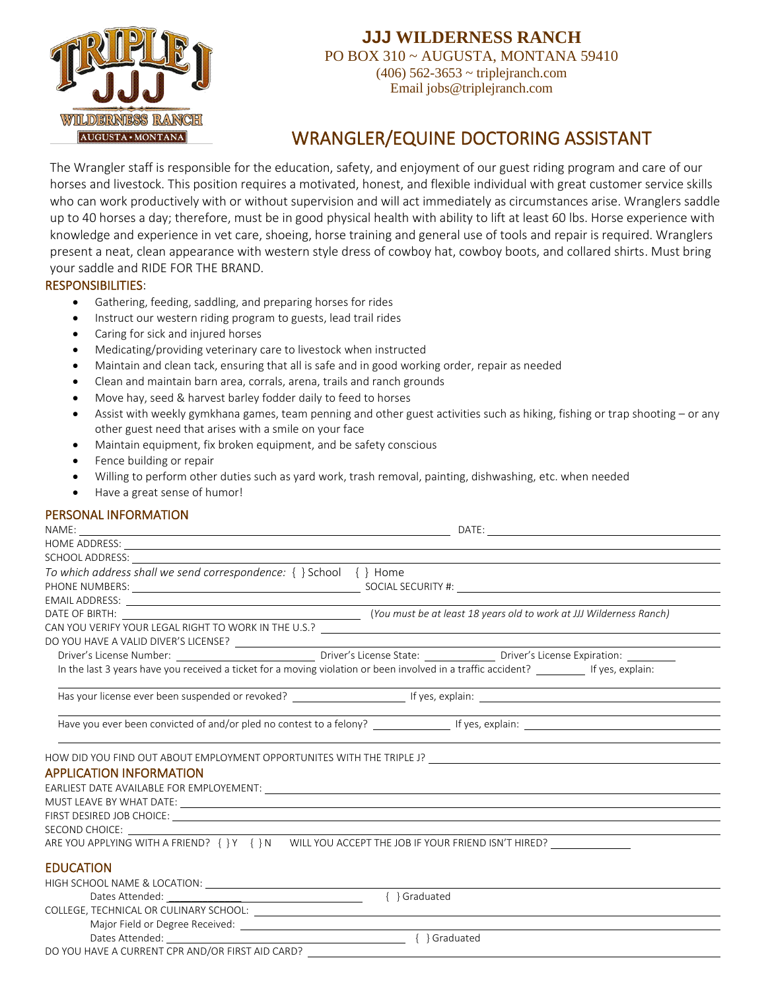

## **JJJ WILDERNESS RANCH**

PO BOX 310 ~ AUGUSTA, MONTANA 59410 (406) 562-3653 ~ triplejranch.com Email jobs@triplejranch.com

# WRANGLER/EQUINE DOCTORING ASSISTANT

The Wrangler staff is responsible for the education, safety, and enjoyment of our guest riding program and care of our horses and livestock. This position requires a motivated, honest, and flexible individual with great customer service skills who can work productively with or without supervision and will act immediately as circumstances arise. Wranglers saddle up to 40 horses a day; therefore, must be in good physical health with ability to lift at least 60 lbs. Horse experience with knowledge and experience in vet care, shoeing, horse training and general use of tools and repair is required. Wranglers present a neat, clean appearance with western style dress of cowboy hat, cowboy boots, and collared shirts. Must bring your saddle and RIDE FOR THE BRAND.

#### RESPONSIBILITIES:

- Gathering, feeding, saddling, and preparing horses for rides
- Instruct our western riding program to guests, lead trail rides
- Caring for sick and injured horses
- Medicating/providing veterinary care to livestock when instructed
- Maintain and clean tack, ensuring that all is safe and in good working order, repair as needed
- Clean and maintain barn area, corrals, arena, trails and ranch grounds
- Move hay, seed & harvest barley fodder daily to feed to horses
- Assist with weekly gymkhana games, team penning and other guest activities such as hiking, fishing or trap shooting or any other guest need that arises with a smile on your face
- Maintain equipment, fix broken equipment, and be safety conscious
- Fence building or repair
- Willing to perform other duties such as yard work, trash removal, painting, dishwashing, etc. when needed
- Have a great sense of humor!

### PERSONAL INFORMATION

| SCHOOL ADDRESS: New York CONTROL AND THE CONTROL AND THE CONTROL AND THE CONTROL AND THE CONTROL AND THE CONTROL AND THE CONTROL AND THE CONTROL AND THE CONTROL AND THE CONTROL AND THE CONTROL AND THE CONTROL AND THE CONTR |                                                                                                                                          |
|--------------------------------------------------------------------------------------------------------------------------------------------------------------------------------------------------------------------------------|------------------------------------------------------------------------------------------------------------------------------------------|
| To which address shall we send correspondence: { } School { } Home                                                                                                                                                             |                                                                                                                                          |
|                                                                                                                                                                                                                                |                                                                                                                                          |
|                                                                                                                                                                                                                                |                                                                                                                                          |
|                                                                                                                                                                                                                                |                                                                                                                                          |
|                                                                                                                                                                                                                                | CAN YOU VERIFY YOUR LEGAL RIGHT TO WORK IN THE U.S.?                                                                                     |
|                                                                                                                                                                                                                                |                                                                                                                                          |
|                                                                                                                                                                                                                                |                                                                                                                                          |
|                                                                                                                                                                                                                                | In the last 3 years have you received a ticket for a moving violation or been involved in a traffic accident? _________ If yes, explain: |
|                                                                                                                                                                                                                                |                                                                                                                                          |
|                                                                                                                                                                                                                                |                                                                                                                                          |
|                                                                                                                                                                                                                                | HOW DID YOU FIND OUT ABOUT EMPLOYMENT OPPORTUNITES WITH THE TRIPLE J? ______________________________                                     |
| <b>APPLICATION INFORMATION</b>                                                                                                                                                                                                 |                                                                                                                                          |
|                                                                                                                                                                                                                                |                                                                                                                                          |
|                                                                                                                                                                                                                                |                                                                                                                                          |
|                                                                                                                                                                                                                                |                                                                                                                                          |
| SECOND CHOICE: The contract of the contract of the contract of the contract of the contract of the contract of the contract of the contract of the contract of the contract of the contract of the contract of the contract of |                                                                                                                                          |
|                                                                                                                                                                                                                                | ARE YOU APPLYING WITH A FRIEND? { } Y { } N WILL YOU ACCEPT THE JOB IF YOUR FRIEND ISN'T HIRED?                                          |
| <b>EDUCATION</b>                                                                                                                                                                                                               |                                                                                                                                          |
| HIGH SCHOOL NAME & LOCATION: NAME AND THE SCHOOL NAME & LOCATION:                                                                                                                                                              |                                                                                                                                          |
|                                                                                                                                                                                                                                | { } Graduated                                                                                                                            |
|                                                                                                                                                                                                                                |                                                                                                                                          |
|                                                                                                                                                                                                                                |                                                                                                                                          |
| Dates Attended: National States Attended:                                                                                                                                                                                      | - { } Graduated                                                                                                                          |
| DO YOU HAVE A CURRENT CPR AND/OR FIRST AID CARD?                                                                                                                                                                               |                                                                                                                                          |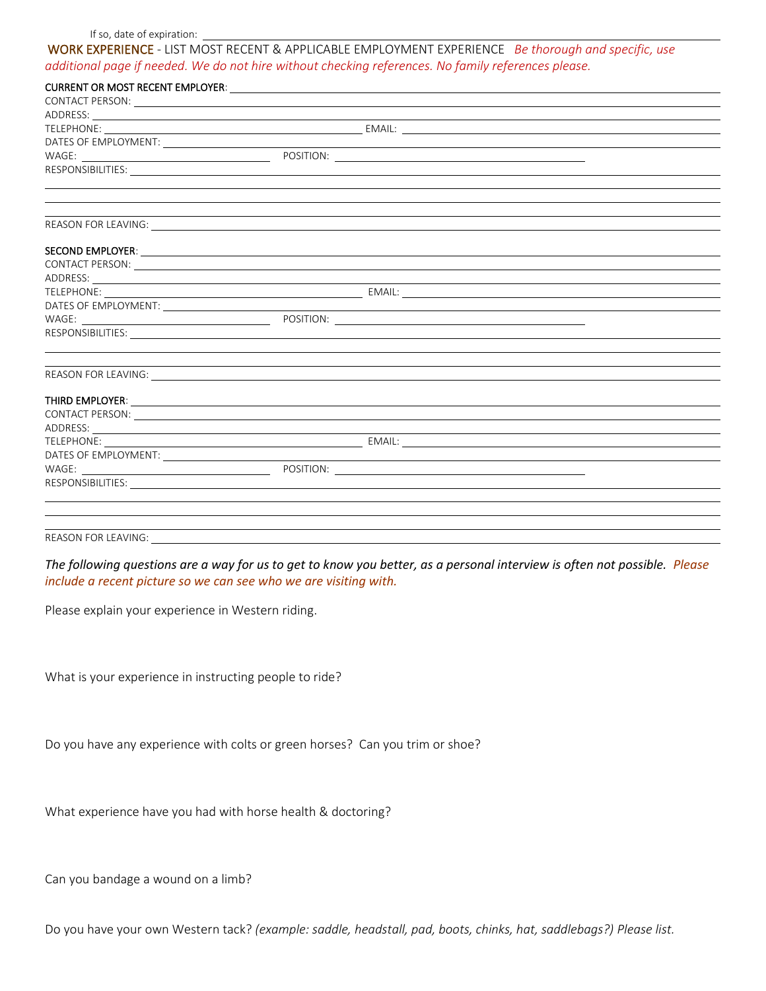#### If so, date of expiration:

WORK EXPERIENCE - LIST MOST RECENT & APPLICABLE EMPLOYMENT EXPERIENCE *Be thorough and specific, use additional page if needed. We do not hire without checking references. No family references please.*

| ADDRESS: New York State State State State State State State State State State State State State State State State State State State State State State State State State State State State State State State State State State  |                                                                                                                                                                                                                                      |
|--------------------------------------------------------------------------------------------------------------------------------------------------------------------------------------------------------------------------------|--------------------------------------------------------------------------------------------------------------------------------------------------------------------------------------------------------------------------------------|
|                                                                                                                                                                                                                                |                                                                                                                                                                                                                                      |
|                                                                                                                                                                                                                                |                                                                                                                                                                                                                                      |
|                                                                                                                                                                                                                                |                                                                                                                                                                                                                                      |
|                                                                                                                                                                                                                                |                                                                                                                                                                                                                                      |
|                                                                                                                                                                                                                                |                                                                                                                                                                                                                                      |
|                                                                                                                                                                                                                                |                                                                                                                                                                                                                                      |
|                                                                                                                                                                                                                                |                                                                                                                                                                                                                                      |
|                                                                                                                                                                                                                                |                                                                                                                                                                                                                                      |
|                                                                                                                                                                                                                                |                                                                                                                                                                                                                                      |
|                                                                                                                                                                                                                                | CONTACT PERSON: LATER CONTACT PERSON:                                                                                                                                                                                                |
| ADDRESS: Example of the contract of the contract of the contract of the contract of the contract of the contract of the contract of the contract of the contract of the contract of the contract of the contract of the contra |                                                                                                                                                                                                                                      |
|                                                                                                                                                                                                                                |                                                                                                                                                                                                                                      |
|                                                                                                                                                                                                                                | DATES OF EMPLOYMENT: <u>Contract of the set of the set of the set of the set of the set of the set of the set of the set of the set of the set of the set of the set of the set of the set of the set of the set of the set of t</u> |
|                                                                                                                                                                                                                                |                                                                                                                                                                                                                                      |
|                                                                                                                                                                                                                                |                                                                                                                                                                                                                                      |
|                                                                                                                                                                                                                                |                                                                                                                                                                                                                                      |
|                                                                                                                                                                                                                                | ,我们也不会有什么。""我们的人,我们也不会有什么?""我们的人,我们也不会有什么?""我们的人,我们也不会有什么?""我们的人,我们也不会有什么?""我们的人                                                                                                                                                     |
|                                                                                                                                                                                                                                |                                                                                                                                                                                                                                      |
|                                                                                                                                                                                                                                |                                                                                                                                                                                                                                      |
|                                                                                                                                                                                                                                | CONTACT PERSON: LATER CONTACT PERSON:                                                                                                                                                                                                |
| ADDRESS: North and the second contract of the second contract of the second contract of the second contract of                                                                                                                 |                                                                                                                                                                                                                                      |
|                                                                                                                                                                                                                                |                                                                                                                                                                                                                                      |
|                                                                                                                                                                                                                                | DATES OF EMPLOYMENT: <u>Contract of the set of the set of the set of the set of the set of the set of the set of the set of the set of the set of the set of the set of the set of the set of the set of the set of the set of t</u> |
|                                                                                                                                                                                                                                |                                                                                                                                                                                                                                      |
|                                                                                                                                                                                                                                |                                                                                                                                                                                                                                      |
|                                                                                                                                                                                                                                |                                                                                                                                                                                                                                      |
|                                                                                                                                                                                                                                |                                                                                                                                                                                                                                      |
|                                                                                                                                                                                                                                |                                                                                                                                                                                                                                      |
| REASON FOR LEAVING:                                                                                                                                                                                                            |                                                                                                                                                                                                                                      |

*The following questions are a way for us to get to know you better, as a personal interview is often not possible. Please include a recent picture so we can see who we are visiting with.*

Please explain your experience in Western riding.

What is your experience in instructing people to ride?

Do you have any experience with colts or green horses? Can you trim or shoe?

What experience have you had with horse health & doctoring?

Can you bandage a wound on a limb?

Do you have your own Western tack? *(example: saddle, headstall, pad, boots, chinks, hat, saddlebags?) Please list.*